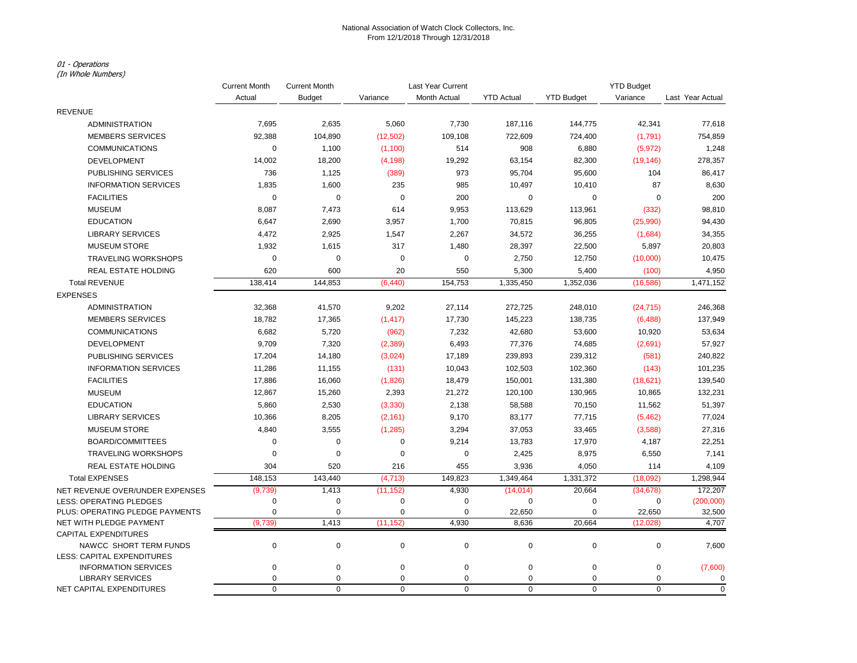## National Association of Watch Clock Collectors, Inc. From 12/1/2018 Through 12/31/2018

## 01 - Operations

(In Whole Numbers)

|                                                     | <b>Current Month</b> | <b>Current Month</b>       | Last Year Current |                  |                   |                          | <b>YTD Budget</b>          |                  |
|-----------------------------------------------------|----------------------|----------------------------|-------------------|------------------|-------------------|--------------------------|----------------------------|------------------|
|                                                     | Actual               | <b>Budget</b>              | Variance          | Month Actual     | <b>YTD Actual</b> | <b>YTD Budget</b>        | Variance                   | Last Year Actual |
| <b>REVENUE</b>                                      |                      |                            |                   |                  |                   |                          |                            |                  |
| ADMINISTRATION                                      | 7,695                | 2,635                      | 5,060             | 7,730            | 187,116           | 144,775                  | 42,341                     | 77,618           |
| <b>MEMBERS SERVICES</b>                             | 92,388               | 104,890                    | (12, 502)         | 109,108          | 722,609           | 724,400                  | (1,791)                    | 754,859          |
| <b>COMMUNICATIONS</b>                               | 0                    | 1,100                      | (1, 100)          | 514              | 908               | 6,880                    | (5, 972)                   | 1,248            |
| <b>DEVELOPMENT</b>                                  | 14,002               | 18,200                     | (4, 198)          | 19,292           | 63,154            | 82,300                   | (19, 146)                  | 278,357          |
| PUBLISHING SERVICES                                 | 736                  | 1,125                      | (389)             | 973              | 95,704            | 95,600                   | 104                        | 86,417           |
| <b>INFORMATION SERVICES</b>                         | 1,835                | 1,600                      | 235               | 985              | 10,497            | 10,410                   | 87                         | 8,630            |
| <b>FACILITIES</b>                                   | $\mathbf 0$          | $\mathbf 0$                | 0                 | 200              | 0                 | 0                        | $\pmb{0}$                  | 200              |
| <b>MUSEUM</b>                                       | 8,087                | 7,473                      | 614               | 9,953            | 113,629           | 113,961                  | (332)                      | 98,810           |
| <b>EDUCATION</b>                                    | 6,647                | 2,690                      | 3,957             | 1,700            | 70,815            | 96,805                   | (25,990)                   | 94,430           |
| <b>LIBRARY SERVICES</b>                             | 4,472                | 2,925                      | 1,547             | 2,267            | 34,572            | 36,255                   | (1,684)                    | 34,355           |
| <b>MUSEUM STORE</b>                                 | 1,932                | 1,615                      | 317               | 1,480            | 28,397            | 22,500                   | 5,897                      | 20,803           |
| <b>TRAVELING WORKSHOPS</b>                          | $\mathbf 0$          | $\mathbf 0$                | 0                 | $\mathbf 0$      | 2,750             | 12,750                   | (10,000)                   | 10,475           |
| <b>REAL ESTATE HOLDING</b>                          | 620                  | 600                        | 20                | 550              | 5,300             | 5,400                    | (100)                      | 4,950            |
| <b>Total REVENUE</b>                                | 138,414              | 144,853                    | (6, 440)          | 154,753          | 1,335,450         | 1,352,036                | (16, 586)                  | 1,471,152        |
| <b>EXPENSES</b>                                     |                      |                            |                   |                  |                   |                          |                            |                  |
| <b>ADMINISTRATION</b>                               | 32,368               | 41,570                     | 9,202             | 27,114           | 272,725           | 248,010                  | (24, 715)                  | 246,368          |
| <b>MEMBERS SERVICES</b>                             | 18,782               | 17,365                     | (1, 417)          | 17,730           | 145,223           | 138,735                  | (6, 488)                   | 137,949          |
| <b>COMMUNICATIONS</b>                               | 6,682                | 5,720                      | (962)             | 7,232            | 42,680            | 53,600                   | 10,920                     | 53,634           |
| <b>DEVELOPMENT</b>                                  | 9,709                | 7,320                      | (2,389)           | 6,493            | 77,376            | 74,685                   | (2,691)                    | 57,927           |
| PUBLISHING SERVICES                                 | 17,204               | 14,180                     | (3,024)           | 17,189           | 239,893           | 239,312                  | (581)                      | 240,822          |
| <b>INFORMATION SERVICES</b>                         | 11,286               | 11,155                     | (131)             | 10,043           | 102,503           | 102,360                  | (143)                      | 101,235          |
| <b>FACILITIES</b>                                   | 17,886               | 16,060                     | (1,826)           | 18,479           | 150,001           | 131,380                  | (18, 621)                  | 139,540          |
| <b>MUSEUM</b>                                       | 12,867               | 15,260                     | 2,393             | 21,272           | 120,100           | 130,965                  | 10,865                     | 132,231          |
| <b>EDUCATION</b>                                    | 5,860                | 2,530                      | (3, 330)          | 2,138            | 58,588            | 70,150                   | 11,562                     | 51,397           |
| <b>LIBRARY SERVICES</b>                             | 10,366               | 8,205                      | (2, 161)          | 9,170            | 83,177            | 77,715                   | (5, 462)                   | 77,024           |
| <b>MUSEUM STORE</b>                                 | 4,840                | 3,555                      | (1, 285)          | 3,294            | 37,053            | 33,465                   | (3,588)                    | 27,316           |
| <b>BOARD/COMMITTEES</b>                             | 0                    | $\mathbf 0$                | $\mathbf 0$       | 9,214            | 13,783            | 17,970                   | 4,187                      | 22,251           |
| <b>TRAVELING WORKSHOPS</b>                          | 0                    | $\mathbf 0$                | 0                 | $\mathbf 0$      | 2,425             | 8,975                    | 6,550                      | 7,141            |
| <b>REAL ESTATE HOLDING</b>                          | 304                  | 520                        | 216               | 455              | 3,936             | 4,050                    | 114                        | 4,109            |
| <b>Total EXPENSES</b>                               | 148,153              | 143,440                    | (4, 713)          | 149,823          | 1,349,464         | 1,331,372                | (18,092)                   | 1,298,944        |
| NET REVENUE OVER/UNDER EXPENSES                     | (9,739)              | 1,413                      | (11, 152)         | 4,930            | (14, 014)         | 20,664                   | (34, 678)                  | 172,207          |
| <b>LESS: OPERATING PLEDGES</b>                      | $\pmb{0}$            | $\mathbf 0$                | 0                 | $\mathbf 0$      | 0                 | 0                        | 0                          | (200,000)        |
| PLUS: OPERATING PLEDGE PAYMENTS                     | $\mathbf 0$          | $\mathbf 0$                | $\mathbf 0$       | $\mathbf 0$      | 22,650            | $\pmb{0}$                | 22,650                     | 32,500           |
| NET WITH PLEDGE PAYMENT                             | (9,739)              | 1,413                      | (11, 152)         | 4,930            | 8,636             | 20,664                   | (12,028)                   | 4,707            |
| <b>CAPITAL EXPENDITURES</b>                         |                      |                            |                   |                  |                   |                          |                            |                  |
| NAWCC SHORT TERM FUNDS                              | $\mathbf 0$          | $\pmb{0}$                  | $\pmb{0}$         | $\pmb{0}$        | 0                 | $\mathbf 0$              | $\pmb{0}$                  | 7,600            |
| LESS: CAPITAL EXPENDITURES                          |                      |                            |                   |                  |                   |                          |                            |                  |
| <b>INFORMATION SERVICES</b>                         | $\mathbf 0$          | $\mathbf 0$                | 0                 | 0                | 0                 | $\pmb{0}$                | $\pmb{0}$                  | (7,600)          |
| <b>LIBRARY SERVICES</b><br>NET CAPITAL EXPENDITURES | 0<br>$\mathbf 0$     | $\mathbf 0$<br>$\mathbf 0$ | $\mathbf 0$<br>0  | 0<br>$\mathbf 0$ | 0<br>0            | $\pmb{0}$<br>$\mathbf 0$ | $\mathbf 0$<br>$\mathbf 0$ | 0<br>$\mathbf 0$ |
|                                                     |                      |                            |                   |                  |                   |                          |                            |                  |